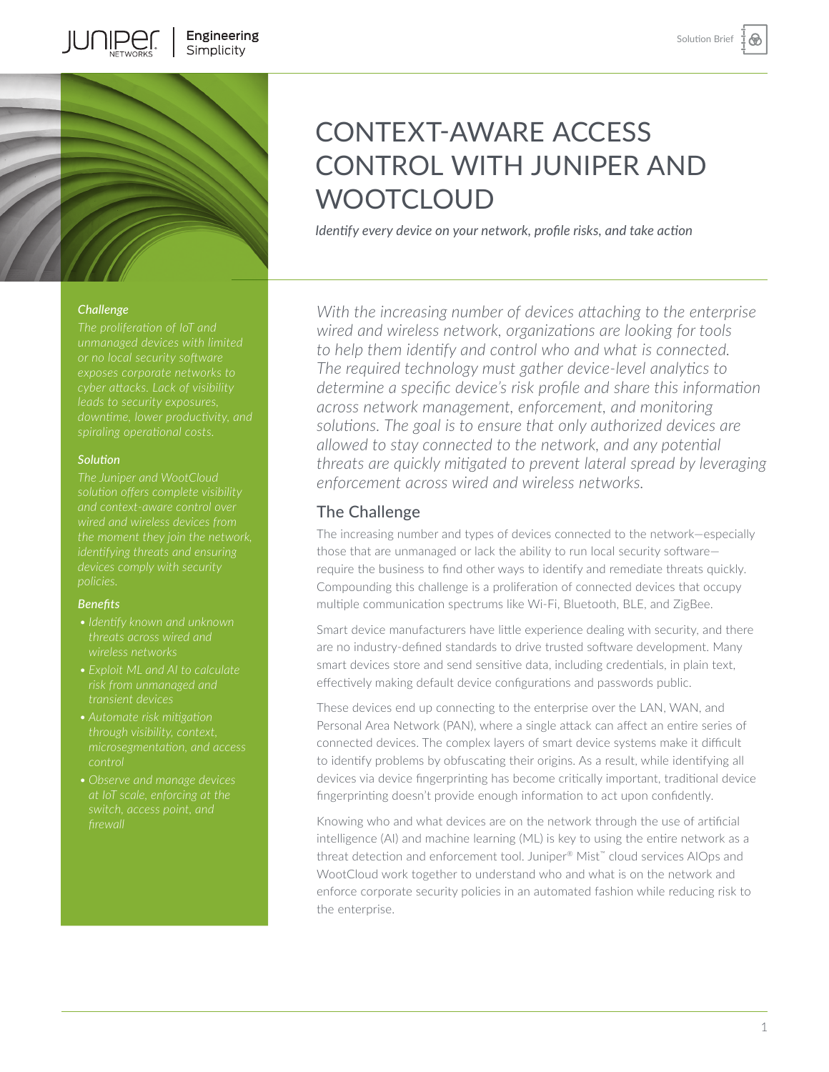⊛



## *Challenge*

**JUNIPEI** 

#### *Solution*

*identifying threats and ensuring* 

#### *Benefits*

- 
- 
- *through visibility, context,*
- 

# CONTEXT-AWARE ACCESS CONTROL WITH JUNIPER AND **WOOTCLOUD**

*Identify every device on your network, profile risks, and take action* 

*With the increasing number of devices attaching to the enterprise wired and wireless network, organizations are looking for tools to help them identify and control who and what is connected. The required technology must gather device-level analytics to determine a specific device's risk profile and share this information across network management, enforcement, and monitoring solutions. The goal is to ensure that only authorized devices are allowed to stay connected to the network, and any potential threats are quickly mitigated to prevent lateral spread by leveraging enforcement across wired and wireless networks.* 

## The Challenge

The increasing number and types of devices connected to the network—especially those that are unmanaged or lack the ability to run local security software require the business to find other ways to identify and remediate threats quickly. Compounding this challenge is a proliferation of connected devices that occupy multiple communication spectrums like Wi-Fi, Bluetooth, BLE, and ZigBee.

Smart device manufacturers have little experience dealing with security, and there are no industry-defined standards to drive trusted software development. Many smart devices store and send sensitive data, including credentials, in plain text, effectively making default device configurations and passwords public.

These devices end up connecting to the enterprise over the LAN, WAN, and Personal Area Network (PAN), where a single attack can affect an entire series of connected devices. The complex layers of smart device systems make it difficult to identify problems by obfuscating their origins. As a result, while identifying all devices via device fingerprinting has become critically important, traditional device fingerprinting doesn't provide enough information to act upon confidently.

Knowing who and what devices are on the network through the use of artificial intelligence (AI) and machine learning (ML) is key to using the entire network as a threat detection and enforcement tool. Juniper® Mist™ cloud services AIOps and WootCloud work together to understand who and what is on the network and enforce corporate security policies in an automated fashion while reducing risk to the enterprise.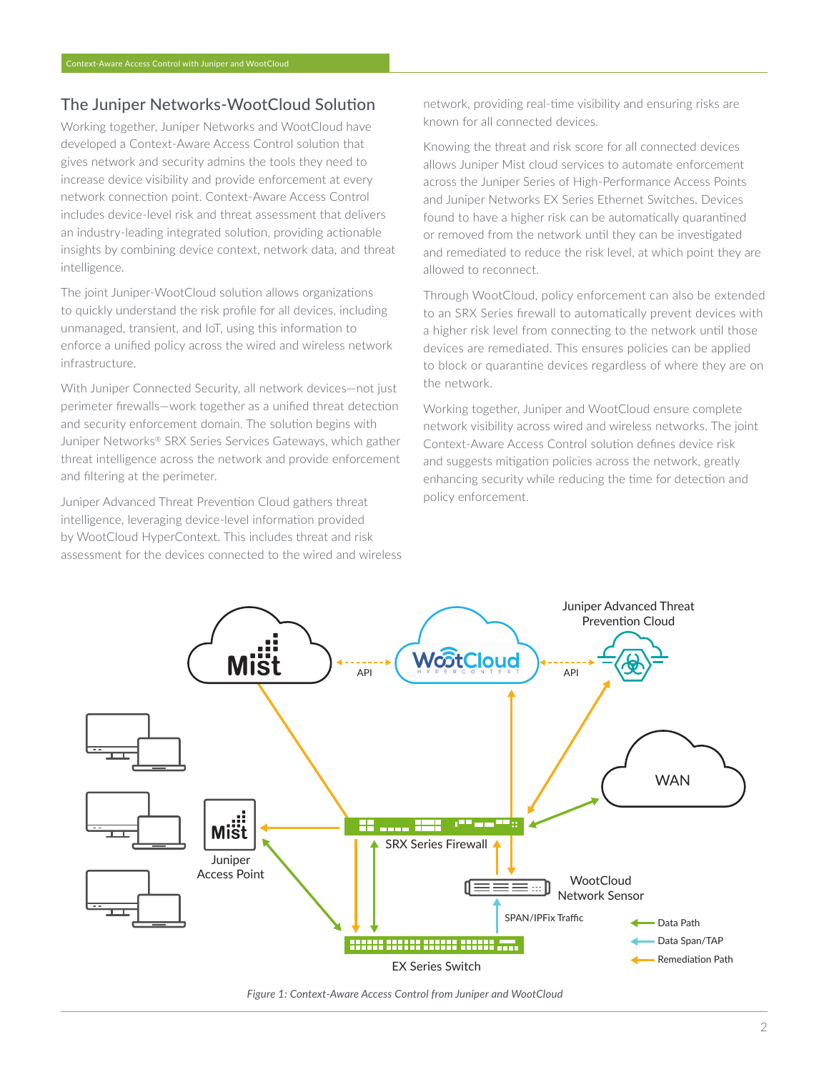# The Juniper Networks-WootCloud Solution

Working together, Juniper Networks and WootCloud have developed a Context-Aware Access Control solution that gives network and security admins the tools they need to increase device visibility and provide enforcement at every network connection point. Context-Aware Access Control includes device-level risk and threat assessment that delivers an industry-leading integrated solution, providing actionable insights by combining device context, network data, and threat intelligence.

The joint Juniper-WootCloud solution allows organizations to quickly understand the risk profile for all devices, including unmanaged, transient, and IoT, using this information to enforce a unified policy across the wired and wireless network infrastructure.

With Juniper Connected Security, all network devices—not just perimeter firewalls—work together as a unified threat detection and security enforcement domain. The solution begins with Juniper Networks® SRX Series Services Gateways, which gather threat intelligence across the network and provide enforcement and filtering at the perimeter.

Juniper Advanced Threat Prevention Cloud gathers threat intelligence, leveraging device-level information provided by WootCloud HyperContext. This includes threat and risk assessment for the devices connected to the wired and wireless network, providing real-time visibility and ensuring risks are known for all connected devices.

Knowing the threat and risk score for all connected devices allows Juniper Mist cloud services to automate enforcement across the Juniper Series of High-Performance Access Points and Juniper Networks EX Series Ethernet Switches. Devices found to have a higher risk can be automatically quarantined or removed from the network until they can be investigated and remediated to reduce the risk level, at which point they are allowed to reconnect.

Through WootCloud, policy enforcement can also be extended to an SRX Series firewall to automatically prevent devices with a higher risk level from connecting to the network until those devices are remediated. This ensures policies can be applied to block or quarantine devices regardless of where they are on the network.

Working together, Juniper and WootCloud ensure complete network visibility across wired and wireless networks. The joint Context-Aware Access Control solution defines device risk and suggests mitigation policies across the network, greatly enhancing security while reducing the time for detection and policy enforcement.



*Figure 1: Context-Aware Access Control from Juniper and WootCloud*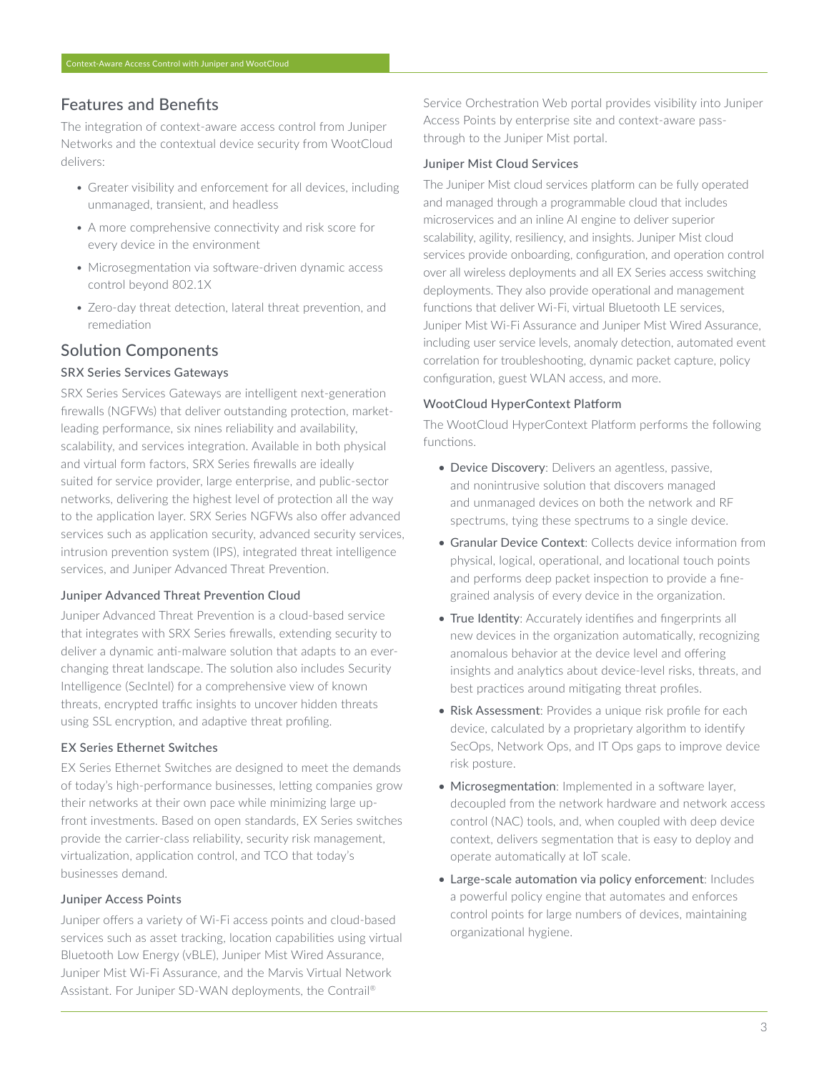## Features and Benefits

The integration of context-aware access control from Juniper Networks and the contextual device security from WootCloud delivers:

- Greater visibility and enforcement for all devices, including unmanaged, transient, and headless
- A more comprehensive connectivity and risk score for every device in the environment
- Microsegmentation via software-driven dynamic access control beyond 802.1X
- Zero-day threat detection, lateral threat prevention, and remediation

## Solution Components

## SRX Series Services Gateways

SRX Series Services Gateways are intelligent next-generation firewalls (NGFWs) that deliver outstanding protection, marketleading performance, six nines reliability and availability, scalability, and services integration. Available in both physical and virtual form factors, SRX Series firewalls are ideally suited for service provider, large enterprise, and public-sector networks, delivering the highest level of protection all the way to the application layer. SRX Series NGFWs also offer advanced services such as application security, advanced security services, intrusion prevention system (IPS), integrated threat intelligence services, and Juniper Advanced Threat Prevention.

## Juniper Advanced Threat Prevention Cloud

Juniper Advanced Threat Prevention is a cloud-based service that integrates with SRX Series firewalls, extending security to deliver a dynamic anti-malware solution that adapts to an everchanging threat landscape. The solution also includes Security Intelligence (SecIntel) for a comprehensive view of known threats, encrypted traffic insights to uncover hidden threats using SSL encryption, and adaptive threat profiling.

## EX Series Ethernet Switches

EX Series Ethernet Switches are designed to meet the demands of today's high-performance businesses, letting companies grow their networks at their own pace while minimizing large upfront investments. Based on open standards, EX Series switches provide the carrier-class reliability, security risk management, virtualization, application control, and TCO that today's businesses demand.

## Juniper Access Points

Juniper offers a variety of Wi-Fi access points and cloud-based services such as asset tracking, location capabilities using virtual Bluetooth Low Energy (vBLE), Juniper Mist Wired Assurance, Juniper Mist Wi-Fi Assurance, and the Marvis Virtual Network Assistant. For Juniper SD-WAN deployments, the Contrail®

Service Orchestration Web portal provides visibility into Juniper Access Points by enterprise site and context-aware passthrough to the Juniper Mist portal.

## Juniper Mist Cloud Services

The Juniper Mist cloud services platform can be fully operated and managed through a programmable cloud that includes microservices and an inline AI engine to deliver superior scalability, agility, resiliency, and insights. Juniper Mist cloud services provide onboarding, configuration, and operation control over all wireless deployments and all EX Series access switching deployments. They also provide operational and management functions that deliver Wi-Fi, virtual Bluetooth LE services, Juniper Mist Wi-Fi Assurance and Juniper Mist Wired Assurance, including user service levels, anomaly detection, automated event correlation for troubleshooting, dynamic packet capture, policy configuration, guest WLAN access, and more.

#### WootCloud HyperContext Platform

The WootCloud HyperContext Platform performs the following functions.

- Device Discovery: Delivers an agentless, passive, and nonintrusive solution that discovers managed and unmanaged devices on both the network and RF spectrums, tying these spectrums to a single device.
- Granular Device Context: Collects device information from physical, logical, operational, and locational touch points and performs deep packet inspection to provide a finegrained analysis of every device in the organization.
- True Identity: Accurately identifies and fingerprints all new devices in the organization automatically, recognizing anomalous behavior at the device level and offering insights and analytics about device-level risks, threats, and best practices around mitigating threat profiles.
- Risk Assessment: Provides a unique risk profile for each device, calculated by a proprietary algorithm to identify SecOps, Network Ops, and IT Ops gaps to improve device risk posture.
- Microsegmentation: Implemented in a software layer, decoupled from the network hardware and network access control (NAC) tools, and, when coupled with deep device context, delivers segmentation that is easy to deploy and operate automatically at IoT scale.
- Large-scale automation via policy enforcement: Includes a powerful policy engine that automates and enforces control points for large numbers of devices, maintaining organizational hygiene.